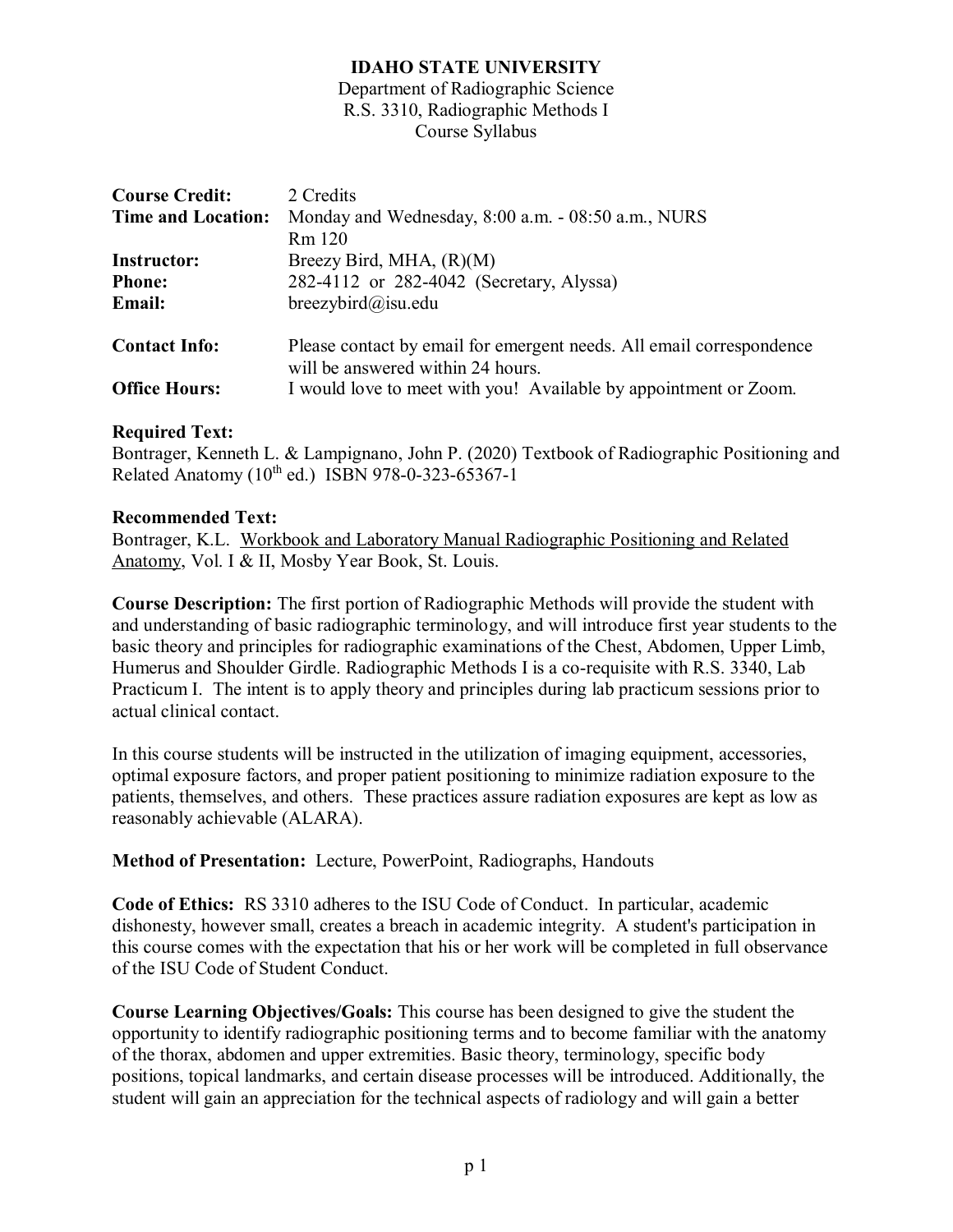## **IDAHO STATE UNIVERSITY**

Department of Radiographic Science R.S. 3310, Radiographic Methods I Course Syllabus

| <b>Course Credit:</b><br><b>Time and Location:</b> | 2 Credits<br>Monday and Wednesday, 8:00 a.m. - 08:50 a.m., NURS<br>Rm 120                                 |
|----------------------------------------------------|-----------------------------------------------------------------------------------------------------------|
| <b>Instructor:</b>                                 | Breezy Bird, MHA, $(R)(M)$                                                                                |
| <b>Phone:</b>                                      | 282-4112 or 282-4042 (Secretary, Alyssa)                                                                  |
| <b>Email:</b>                                      | $breakq$ isu.edu                                                                                          |
| <b>Contact Info:</b>                               | Please contact by email for emergent needs. All email correspondence<br>will be answered within 24 hours. |
| <b>Office Hours:</b>                               | I would love to meet with you! Available by appointment or Zoom.                                          |

## **Required Text:**

Bontrager, Kenneth L. & Lampignano, John P. (2020) Textbook of Radiographic Positioning and Related Anatomy  $(10^{th}$  ed.) ISBN 978-0-323-65367-1

#### **Recommended Text:**

Bontrager, K.L. Workbook and Laboratory Manual Radiographic Positioning and Related Anatomy, Vol. I & II, Mosby Year Book, St. Louis.

**Course Description:** The first portion of Radiographic Methods will provide the student with and understanding of basic radiographic terminology, and will introduce first year students to the basic theory and principles for radiographic examinations of the Chest, Abdomen, Upper Limb, Humerus and Shoulder Girdle. Radiographic Methods I is a co-requisite with R.S. 3340, Lab Practicum I. The intent is to apply theory and principles during lab practicum sessions prior to actual clinical contact.

In this course students will be instructed in the utilization of imaging equipment, accessories, optimal exposure factors, and proper patient positioning to minimize radiation exposure to the patients, themselves, and others. These practices assure radiation exposures are kept as low as reasonably achievable (ALARA).

## **Method of Presentation:** Lecture, PowerPoint, Radiographs, Handouts

**Code of Ethics:** RS 3310 adheres to the ISU Code of Conduct. In particular, academic dishonesty, however small, creates a breach in academic integrity. A student's participation in this course comes with the expectation that his or her work will be completed in full observance of the ISU Code of Student Conduct.

**Course Learning Objectives/Goals:** This course has been designed to give the student the opportunity to identify radiographic positioning terms and to become familiar with the anatomy of the thorax, abdomen and upper extremities. Basic theory, terminology, specific body positions, topical landmarks, and certain disease processes will be introduced. Additionally, the student will gain an appreciation for the technical aspects of radiology and will gain a better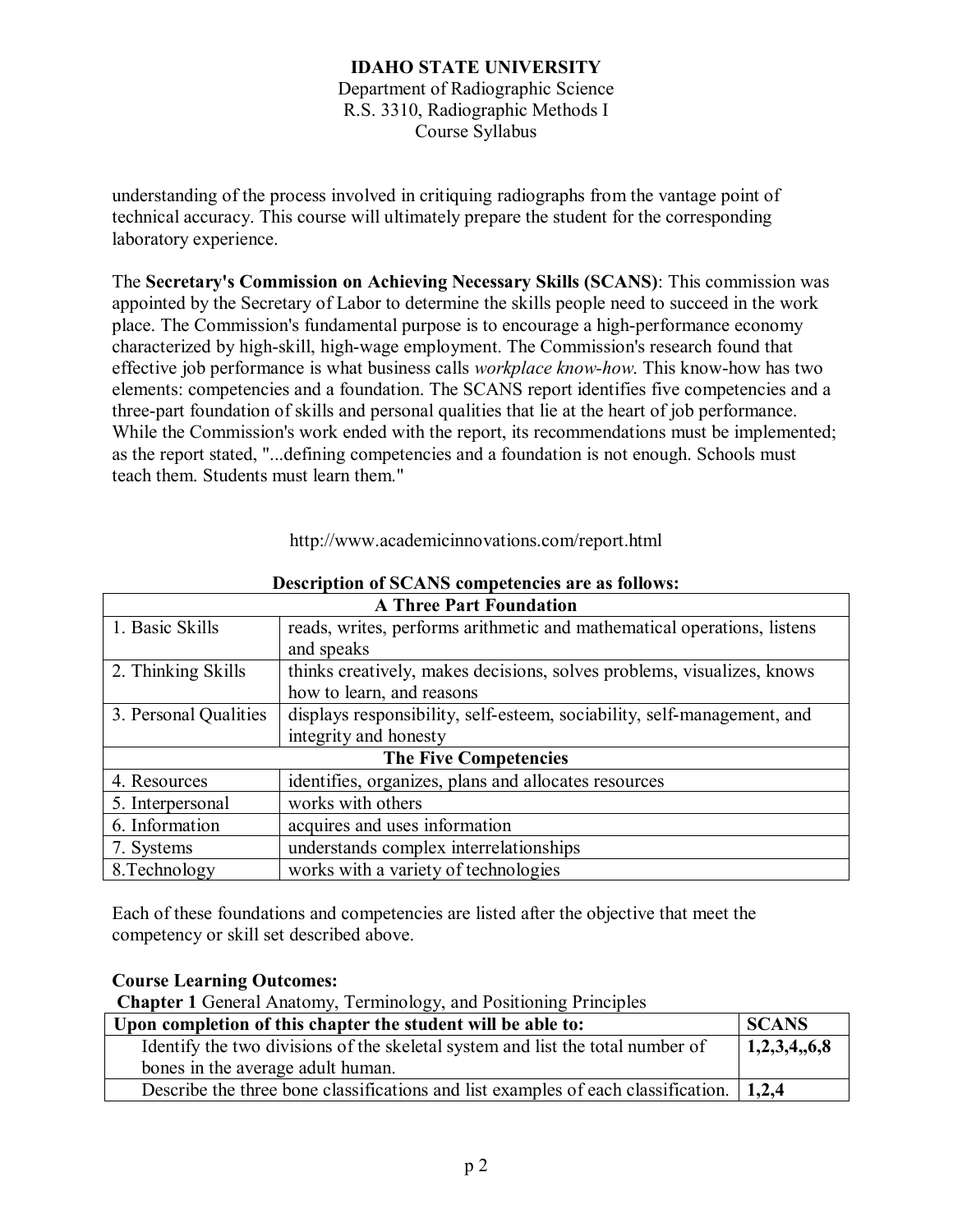understanding of the process involved in critiquing radiographs from the vantage point of technical accuracy. This course will ultimately prepare the student for the corresponding laboratory experience.

The **Secretary's Commission on Achieving Necessary Skills (SCANS)**: This commission was appointed by the Secretary of Labor to determine the skills people need to succeed in the work place. The Commission's fundamental purpose is to encourage a high-performance economy characterized by high-skill, high-wage employment. The Commission's research found that effective job performance is what business calls *workplace know-how*. This know-how has two elements: competencies and a foundation. The SCANS report identifies five competencies and a three-part foundation of skills and personal qualities that lie at the heart of job performance. While the Commission's work ended with the report, its recommendations must be implemented; as the report stated, "...defining competencies and a foundation is not enough. Schools must teach them. Students must learn them."

| Description of SCANS competencies are as follows: |                                                                         |  |
|---------------------------------------------------|-------------------------------------------------------------------------|--|
| <b>A Three Part Foundation</b>                    |                                                                         |  |
| 1. Basic Skills                                   | reads, writes, performs arithmetic and mathematical operations, listens |  |
|                                                   | and speaks                                                              |  |
| 2. Thinking Skills                                | thinks creatively, makes decisions, solves problems, visualizes, knows  |  |
|                                                   | how to learn, and reasons                                               |  |
| 3. Personal Qualities                             | displays responsibility, self-esteem, sociability, self-management, and |  |
|                                                   | integrity and honesty                                                   |  |
|                                                   | <b>The Five Competencies</b>                                            |  |
| 4. Resources                                      | identifies, organizes, plans and allocates resources                    |  |
| 5. Interpersonal                                  | works with others                                                       |  |
| 6. Information                                    | acquires and uses information                                           |  |
| 7. Systems                                        | understands complex interrelationships                                  |  |
| 8. Technology                                     | works with a variety of technologies                                    |  |

http://www.academicinnovations.com/report.html

Each of these foundations and competencies are listed after the objective that meet the competency or skill set described above.

#### **Course Learning Outcomes:**

**Chapter 1** General Anatomy, Terminology, and Positioning Principles

| Upon completion of this chapter the student will be able to:                            |             |
|-----------------------------------------------------------------------------------------|-------------|
| Identify the two divisions of the skeletal system and list the total number of          | 1,2,3,4,6,8 |
| bones in the average adult human.                                                       |             |
| Describe the three bone classifications and list examples of each classification. 1.2.4 |             |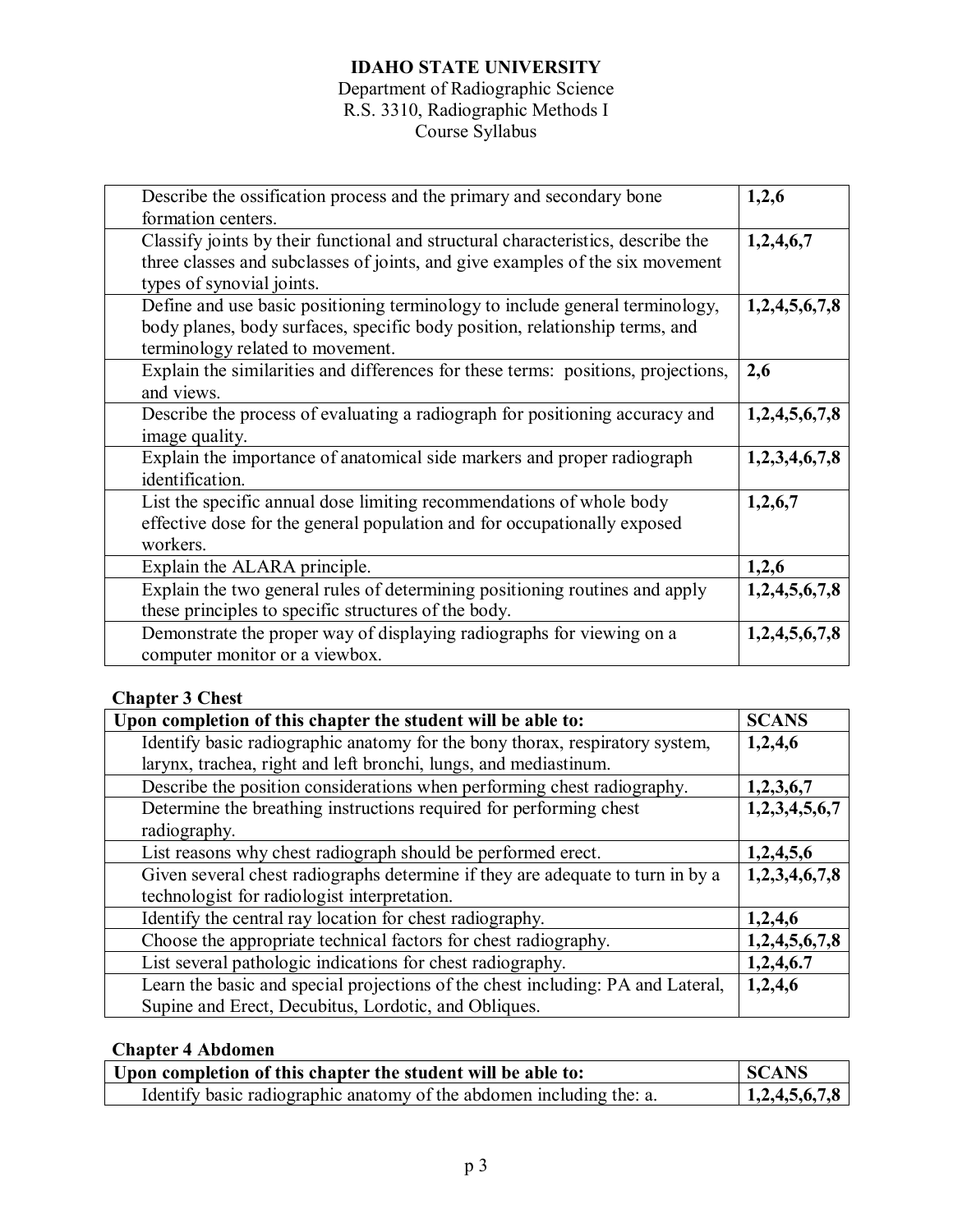| Describe the ossification process and the primary and secondary bone              | 1,2,6         |
|-----------------------------------------------------------------------------------|---------------|
| formation centers.                                                                |               |
| Classify joints by their functional and structural characteristics, describe the  | 1,2,4,6,7     |
| three classes and subclasses of joints, and give examples of the six movement     |               |
| types of synovial joints.                                                         |               |
| Define and use basic positioning terminology to include general terminology,      | 1,2,4,5,6,7,8 |
| body planes, body surfaces, specific body position, relationship terms, and       |               |
| terminology related to movement.                                                  |               |
| Explain the similarities and differences for these terms: positions, projections, | 2,6           |
| and views.                                                                        |               |
| Describe the process of evaluating a radiograph for positioning accuracy and      | 1,2,4,5,6,7,8 |
| image quality.                                                                    |               |
| Explain the importance of anatomical side markers and proper radiograph           | 1,2,3,4,6,7,8 |
| identification.                                                                   |               |
| List the specific annual dose limiting recommendations of whole body              | 1,2,6,7       |
| effective dose for the general population and for occupationally exposed          |               |
| workers.                                                                          |               |
| Explain the ALARA principle.                                                      | 1,2,6         |
| Explain the two general rules of determining positioning routines and apply       | 1,2,4,5,6,7,8 |
| these principles to specific structures of the body.                              |               |
| Demonstrate the proper way of displaying radiographs for viewing on a             | 1,2,4,5,6,7,8 |
| computer monitor or a viewbox.                                                    |               |

# **Chapter 3 Chest**

| Upon completion of this chapter the student will be able to:                    | <b>SCANS</b>  |
|---------------------------------------------------------------------------------|---------------|
| Identify basic radiographic anatomy for the bony thorax, respiratory system,    | 1,2,4,6       |
| larynx, trachea, right and left bronchi, lungs, and mediastinum.                |               |
| Describe the position considerations when performing chest radiography.         | 1,2,3,6,7     |
| Determine the breathing instructions required for performing chest              | 1,2,3,4,5,6,7 |
| radiography.                                                                    |               |
| List reasons why chest radiograph should be performed erect.                    | 1,2,4,5,6     |
| Given several chest radiographs determine if they are adequate to turn in by a  | 1,2,3,4,6,7,8 |
| technologist for radiologist interpretation.                                    |               |
| Identify the central ray location for chest radiography.                        | 1,2,4,6       |
| Choose the appropriate technical factors for chest radiography.                 | 1,2,4,5,6,7,8 |
| List several pathologic indications for chest radiography.                      | 1,2,4,6.7     |
| Learn the basic and special projections of the chest including: PA and Lateral, | 1,2,4,6       |
| Supine and Erect, Decubitus, Lordotic, and Obliques.                            |               |

## **Chapter 4 Abdomen**

| <sup>1</sup> Upon completion of this chapter the student will be able to: | <b>SCANS</b>                |
|---------------------------------------------------------------------------|-----------------------------|
| Identify basic radiographic anatomy of the abdomen including the: a.      | $\mid$ 1,2,4,5,6,7,8 $\mid$ |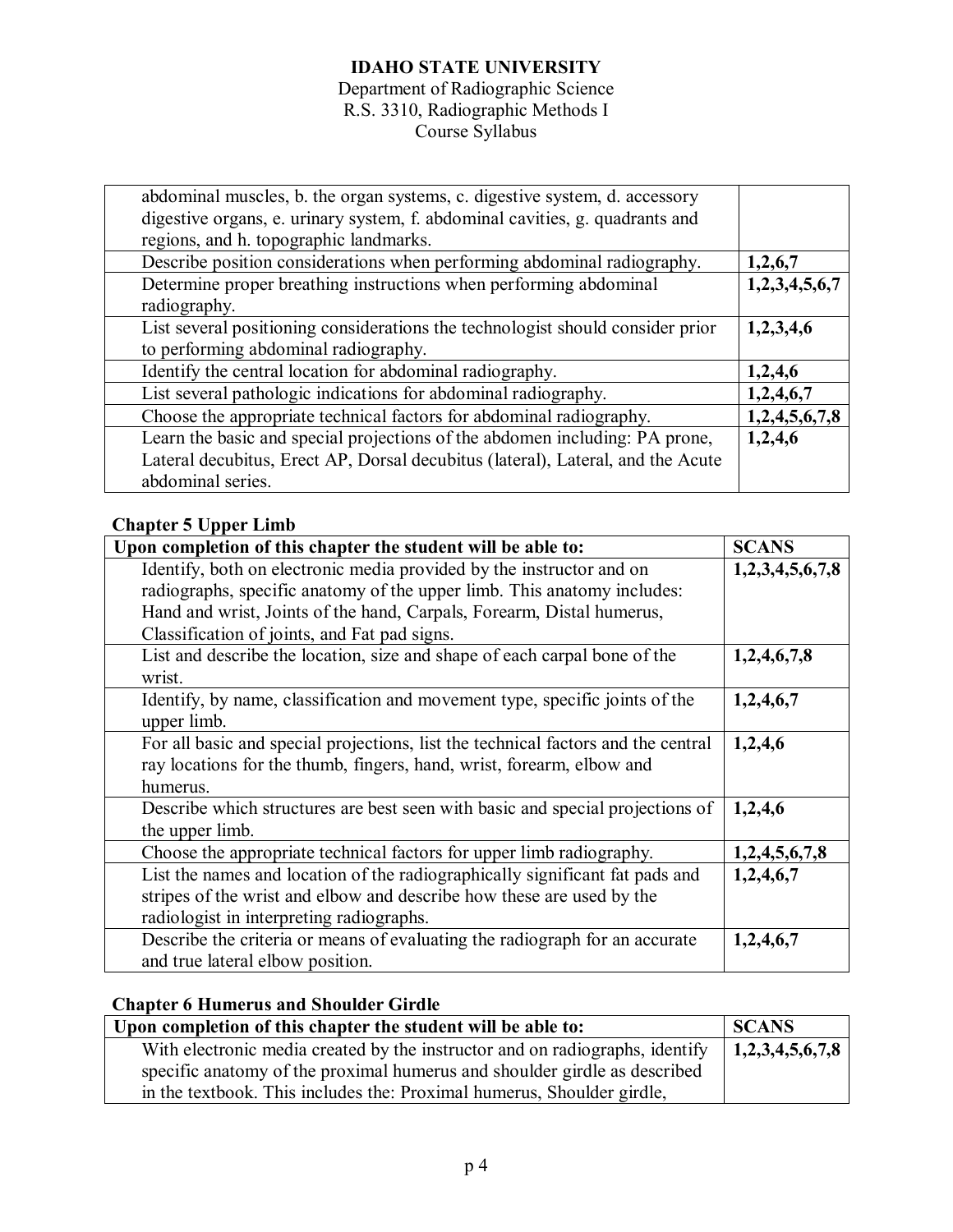| abdominal muscles, b. the organ systems, c. digestive system, d. accessory<br>digestive organs, e. urinary system, f. abdominal cavities, g. quadrants and                          |               |
|-------------------------------------------------------------------------------------------------------------------------------------------------------------------------------------|---------------|
| regions, and h. topographic landmarks.                                                                                                                                              |               |
| Describe position considerations when performing abdominal radiography.                                                                                                             | 1,2,6,7       |
| Determine proper breathing instructions when performing abdominal<br>radiography.                                                                                                   | 1,2,3,4,5,6,7 |
| List several positioning considerations the technologist should consider prior<br>to performing abdominal radiography.                                                              | 1,2,3,4,6     |
| Identify the central location for abdominal radiography.                                                                                                                            | 1,2,4,6       |
| List several pathologic indications for abdominal radiography.                                                                                                                      | 1,2,4,6,7     |
| Choose the appropriate technical factors for abdominal radiography.                                                                                                                 | 1,2,4,5,6,7,8 |
| Learn the basic and special projections of the abdomen including: PA prone,<br>Lateral decubitus, Erect AP, Dorsal decubitus (lateral), Lateral, and the Acute<br>abdominal series. | 1,2,4,6       |

## **Chapter 5 Upper Limb**

| Upon completion of this chapter the student will be able to:                      | <b>SCANS</b>    |
|-----------------------------------------------------------------------------------|-----------------|
| Identify, both on electronic media provided by the instructor and on              | 1,2,3,4,5,6,7,8 |
| radiographs, specific anatomy of the upper limb. This anatomy includes:           |                 |
| Hand and wrist, Joints of the hand, Carpals, Forearm, Distal humerus,             |                 |
| Classification of joints, and Fat pad signs.                                      |                 |
| List and describe the location, size and shape of each carpal bone of the         | 1,2,4,6,7,8     |
| wrist.                                                                            |                 |
| Identify, by name, classification and movement type, specific joints of the       | 1,2,4,6,7       |
| upper limb.                                                                       |                 |
| For all basic and special projections, list the technical factors and the central | 1,2,4,6         |
| ray locations for the thumb, fingers, hand, wrist, forearm, elbow and             |                 |
| humerus.                                                                          |                 |
| Describe which structures are best seen with basic and special projections of     | 1,2,4,6         |
| the upper limb.                                                                   |                 |
| Choose the appropriate technical factors for upper limb radiography.              | 1,2,4,5,6,7,8   |
| List the names and location of the radiographically significant fat pads and      | 1,2,4,6,7       |
| stripes of the wrist and elbow and describe how these are used by the             |                 |
| radiologist in interpreting radiographs.                                          |                 |
| Describe the criteria or means of evaluating the radiograph for an accurate       | 1,2,4,6,7       |
| and true lateral elbow position.                                                  |                 |

# **Chapter 6 Humerus and Shoulder Girdle**

| Upon completion of this chapter the student will be able to:                 | <b>SCANS</b>    |
|------------------------------------------------------------------------------|-----------------|
| With electronic media created by the instructor and on radiographs, identify | 1,2,3,4,5,6,7,8 |
| specific anatomy of the proximal humerus and shoulder girdle as described    |                 |
| in the textbook. This includes the: Proximal humerus, Shoulder girdle,       |                 |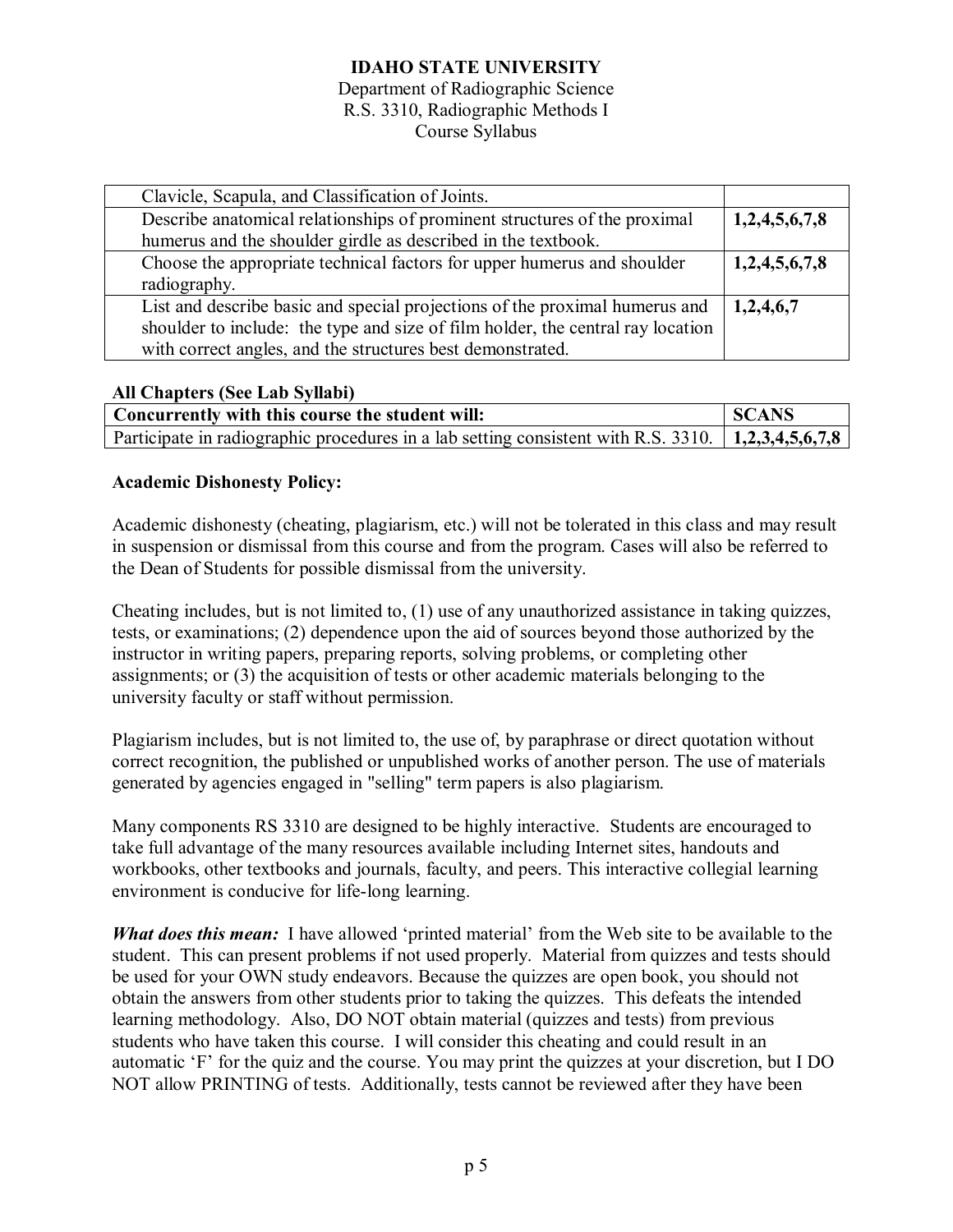| Clavicle, Scapula, and Classification of Joints.                                |               |
|---------------------------------------------------------------------------------|---------------|
| Describe anatomical relationships of prominent structures of the proximal       | 1,2,4,5,6,7,8 |
| humerus and the shoulder girdle as described in the textbook.                   |               |
| Choose the appropriate technical factors for upper humerus and shoulder         | 1,2,4,5,6,7,8 |
| radiography.                                                                    |               |
| List and describe basic and special projections of the proximal humerus and     | 1,2,4,6,7     |
| shoulder to include: the type and size of film holder, the central ray location |               |
| with correct angles, and the structures best demonstrated.                      |               |

#### **All Chapters (See Lab Syllabi)**

| Concurrently with this course the student will:                                                      | <b>SCANS</b> |
|------------------------------------------------------------------------------------------------------|--------------|
| Participate in radiographic procedures in a lab setting consistent with R.S. 3310.   1,2,3,4,5,6,7,8 |              |

## **Academic Dishonesty Policy:**

Academic dishonesty (cheating, plagiarism, etc.) will not be tolerated in this class and may result in suspension or dismissal from this course and from the program. Cases will also be referred to the Dean of Students for possible dismissal from the university.

Cheating includes, but is not limited to, (1) use of any unauthorized assistance in taking quizzes, tests, or examinations; (2) dependence upon the aid of sources beyond those authorized by the instructor in writing papers, preparing reports, solving problems, or completing other assignments; or (3) the acquisition of tests or other academic materials belonging to the university faculty or staff without permission.

Plagiarism includes, but is not limited to, the use of, by paraphrase or direct quotation without correct recognition, the published or unpublished works of another person. The use of materials generated by agencies engaged in "selling" term papers is also plagiarism.

Many components RS 3310 are designed to be highly interactive. Students are encouraged to take full advantage of the many resources available including Internet sites, handouts and workbooks, other textbooks and journals, faculty, and peers. This interactive collegial learning environment is conducive for life-long learning.

*What does this mean:* I have allowed 'printed material' from the Web site to be available to the student. This can present problems if not used properly. Material from quizzes and tests should be used for your OWN study endeavors. Because the quizzes are open book, you should not obtain the answers from other students prior to taking the quizzes. This defeats the intended learning methodology. Also, DO NOT obtain material (quizzes and tests) from previous students who have taken this course. I will consider this cheating and could result in an automatic 'F' for the quiz and the course. You may print the quizzes at your discretion, but I DO NOT allow PRINTING of tests. Additionally, tests cannot be reviewed after they have been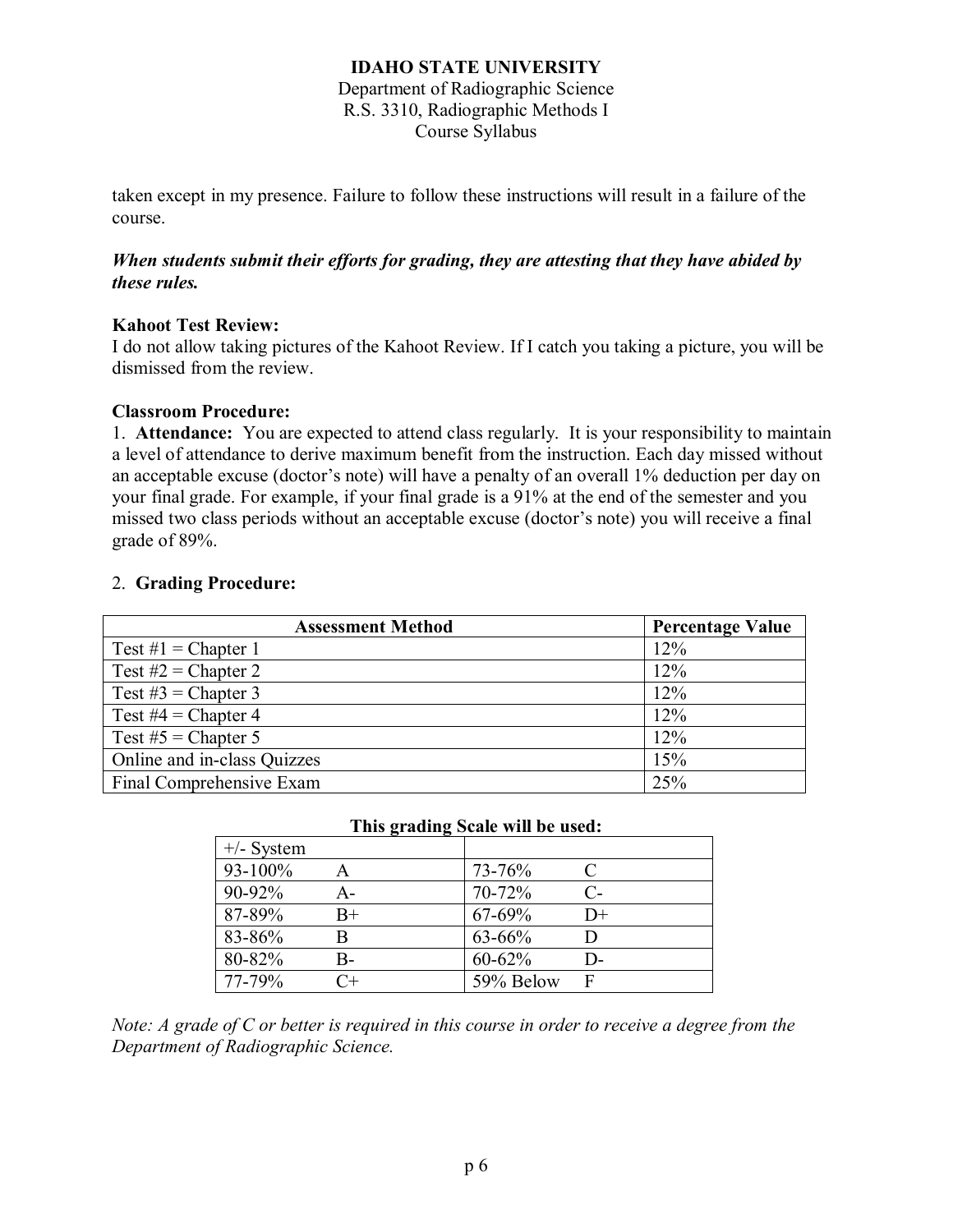## **IDAHO STATE UNIVERSITY**

Department of Radiographic Science R.S. 3310, Radiographic Methods I Course Syllabus

taken except in my presence. Failure to follow these instructions will result in a failure of the course.

## *When students submit their efforts for grading, they are attesting that they have abided by these rules.*

## **Kahoot Test Review:**

I do not allow taking pictures of the Kahoot Review. If I catch you taking a picture, you will be dismissed from the review.

#### **Classroom Procedure:**

1. **Attendance:** You are expected to attend class regularly. It is your responsibility to maintain a level of attendance to derive maximum benefit from the instruction. Each day missed without an acceptable excuse (doctor's note) will have a penalty of an overall 1% deduction per day on your final grade. For example, if your final grade is a 91% at the end of the semester and you missed two class periods without an acceptable excuse (doctor's note) you will receive a final grade of 89%.

## 2. **Grading Procedure:**

| <b>Assessment Method</b>    | <b>Percentage Value</b> |
|-----------------------------|-------------------------|
| Test $\#1$ = Chapter 1      | 12%                     |
| Test $#2$ = Chapter 2       | 12%                     |
| Test $#3$ = Chapter 3       | 12%                     |
| Test $#4 = Chapter 4$       | 12%                     |
| Test $#5$ = Chapter 5       | 12%                     |
| Online and in-class Quizzes | 15%                     |
| Final Comprehensive Exam    | 25%                     |

| $+/-$ System |       |             |           |
|--------------|-------|-------------|-----------|
| 93-100%      |       | 73-76%      | $\subset$ |
| 90-92%       | $A -$ | 70-72%      | $C-$      |
| 87-89%       | $B+$  | 67-69%      | $D+$      |
| 83-86%       | R     | $63 - 66%$  | D         |
| 80-82%       | $B -$ | $60 - 62\%$ | D-        |
| 77-79%       | $C +$ | 59% Below   |           |

#### **This grading Scale will be used:**

*Note: A grade of C or better is required in this course in order to receive a degree from the Department of Radiographic Science.*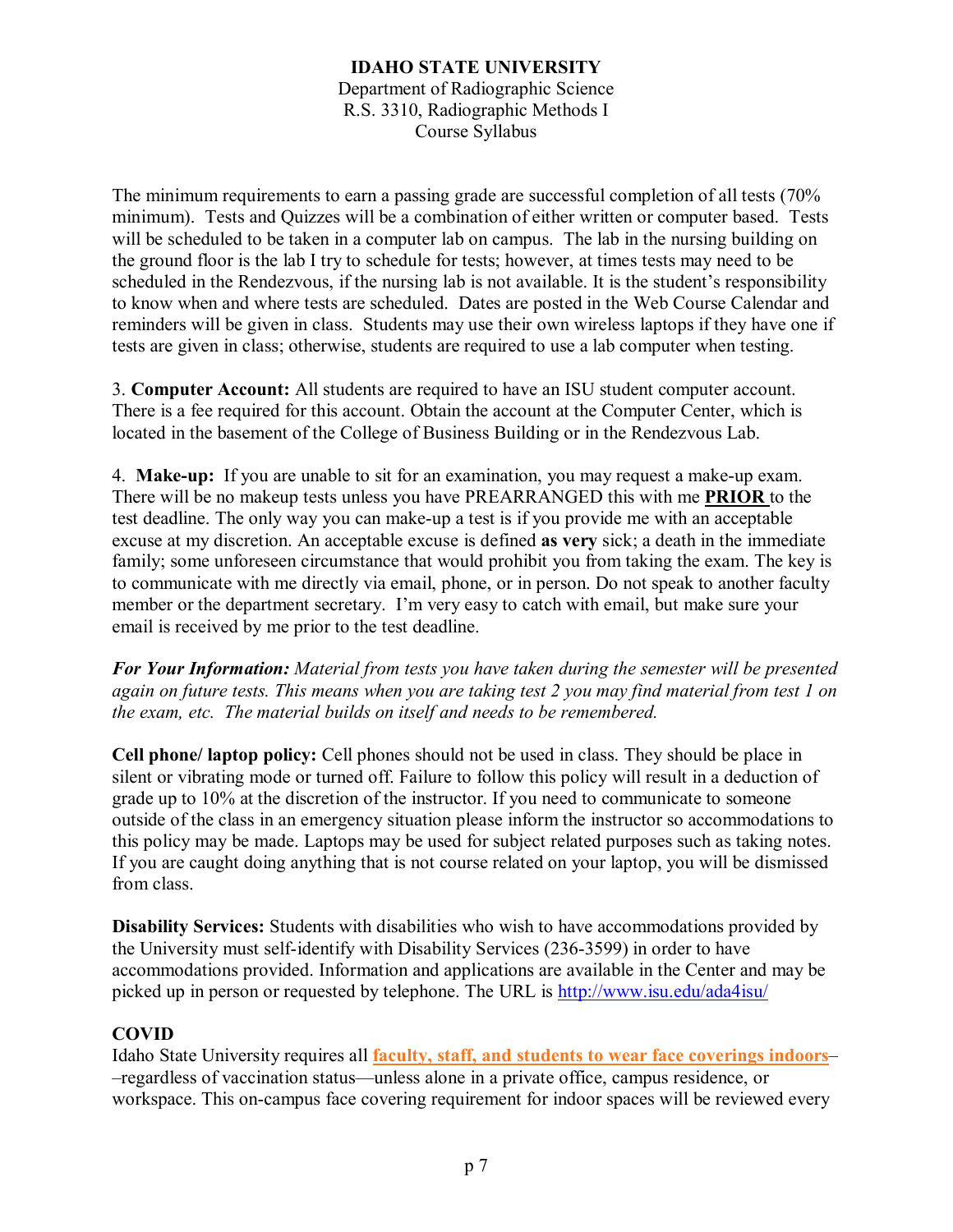The minimum requirements to earn a passing grade are successful completion of all tests (70% minimum). Tests and Quizzes will be a combination of either written or computer based. Tests will be scheduled to be taken in a computer lab on campus. The lab in the nursing building on the ground floor is the lab I try to schedule for tests; however, at times tests may need to be scheduled in the Rendezvous, if the nursing lab is not available. It is the student's responsibility to know when and where tests are scheduled. Dates are posted in the Web Course Calendar and reminders will be given in class. Students may use their own wireless laptops if they have one if tests are given in class; otherwise, students are required to use a lab computer when testing.

3. **Computer Account:** All students are required to have an ISU student computer account. There is a fee required for this account. Obtain the account at the Computer Center, which is located in the basement of the College of Business Building or in the Rendezvous Lab.

4. **Make-up:** If you are unable to sit for an examination, you may request a make-up exam. There will be no makeup tests unless you have PREARRANGED this with me **PRIOR** to the test deadline. The only way you can make-up a test is if you provide me with an acceptable excuse at my discretion. An acceptable excuse is defined **as very** sick; a death in the immediate family; some unforeseen circumstance that would prohibit you from taking the exam. The key is to communicate with me directly via email, phone, or in person. Do not speak to another faculty member or the department secretary. I'm very easy to catch with email, but make sure your email is received by me prior to the test deadline.

*For Your Information: Material from tests you have taken during the semester will be presented again on future tests. This means when you are taking test 2 you may find material from test 1 on the exam, etc. The material builds on itself and needs to be remembered.*

**Cell phone/ laptop policy:** Cell phones should not be used in class. They should be place in silent or vibrating mode or turned off. Failure to follow this policy will result in a deduction of grade up to 10% at the discretion of the instructor. If you need to communicate to someone outside of the class in an emergency situation please inform the instructor so accommodations to this policy may be made. Laptops may be used for subject related purposes such as taking notes. If you are caught doing anything that is not course related on your laptop, you will be dismissed from class.

**Disability Services:** Students with disabilities who wish to have accommodations provided by the University must self-identify with Disability Services (236-3599) in order to have accommodations provided. Information and applications are available in the Center and may be picked up in person or requested by telephone. The URL is<http://www.isu.edu/ada4isu/>

## **COVID**

Idaho State University requires all **[faculty, staff, and students to wear face coverings indoors](https://r20.rs6.net/tn.jsp?f=001bWUtt6PH51JppjsUPzn9bnpg4PNPUP6TqfNwrPVwjxcrM0Loodtb5oNiUaeKt_dMLsaLD2fEP6U0iJE90GLHsNPoGbB_MllQ6YLAQFJ7AUmrwRnEhnFnmsTP2ZuBPqNmJOpIqKBxa9ODX77oCsYaQw==&c=-3uiKvLzlGBsfueTyLNCYB6WyiIaO0aVFp05FwpdVihSbx0eJaSA6g==&ch=oriuqVE8QHCJ2FAt0EQj-1xT1RxFLAuEDHrWYSELoARUVEP27HF8fA==)**– –regardless of vaccination status––unless alone in a private office, campus residence, or workspace. This on-campus face covering requirement for indoor spaces will be reviewed every